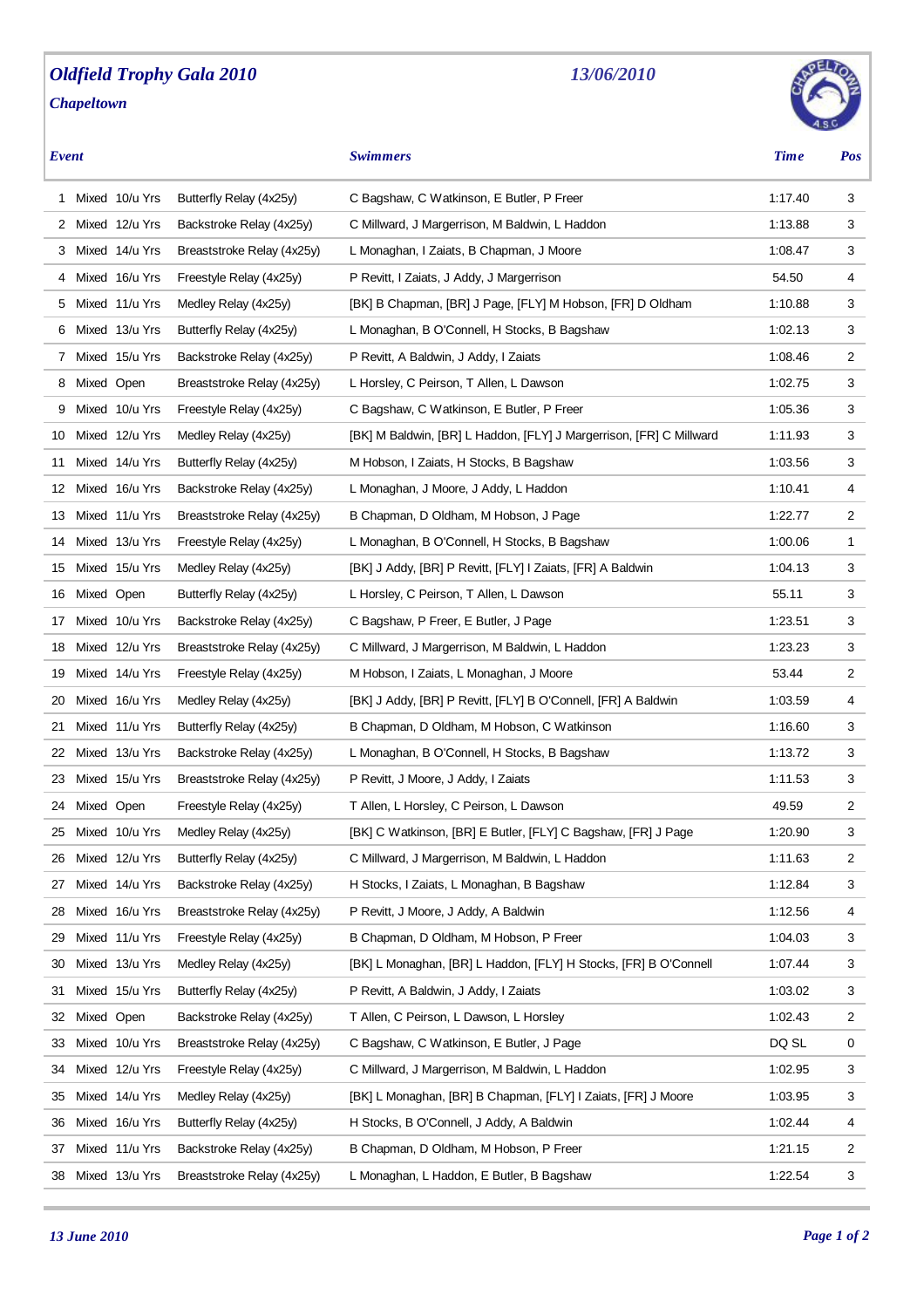## *Oldfield Trophy Gala 2010 Chapeltown*

## *13/06/2010*

*Event Swimmers Time Pos*

|                       | 1 Mixed 10/u Yrs  | Butterfly Relay (4x25y)    | C Bagshaw, C Watkinson, E Butler, P Freer                           | 1:17.40 | 3              |
|-----------------------|-------------------|----------------------------|---------------------------------------------------------------------|---------|----------------|
| $\mathbf{2}^{\prime}$ | Mixed 12/u Yrs    | Backstroke Relay (4x25y)   | C Millward, J Margerrison, M Baldwin, L Haddon                      | 1:13.88 | 3              |
|                       | 3 Mixed 14/u Yrs  | Breaststroke Relay (4x25y) | L Monaghan, I Zaiats, B Chapman, J Moore                            | 1:08.47 | 3              |
|                       | 4 Mixed 16/u Yrs  | Freestyle Relay (4x25y)    | P Revitt, I Zaiats, J Addy, J Margerrison                           | 54.50   | 4              |
|                       | 5 Mixed 11/u Yrs  | Medley Relay (4x25y)       | [BK] B Chapman, [BR] J Page, [FLY] M Hobson, [FR] D Oldham          | 1:10.88 | 3              |
|                       | 6 Mixed 13/u Yrs  | Butterfly Relay (4x25y)    | L Monaghan, B O'Connell, H Stocks, B Bagshaw                        | 1:02.13 | 3              |
|                       | 7 Mixed 15/u Yrs  | Backstroke Relay (4x25y)   | P Revitt, A Baldwin, J Addy, I Zaiats                               | 1:08.46 | 2              |
| 8                     | Mixed Open        | Breaststroke Relay (4x25y) | L Horsley, C Peirson, T Allen, L Dawson                             | 1:02.75 | 3              |
| 9                     | Mixed 10/u Yrs    | Freestyle Relay (4x25y)    | C Bagshaw, C Watkinson, E Butler, P Freer                           | 1:05.36 | 3              |
| 10                    | Mixed 12/u Yrs    | Medley Relay (4x25y)       | [BK] M Baldwin, [BR] L Haddon, [FLY] J Margerrison, [FR] C Millward | 1:11.93 | 3              |
| 11                    | Mixed 14/u Yrs    | Butterfly Relay (4x25y)    | M Hobson, I Zaiats, H Stocks, B Bagshaw                             | 1:03.56 | 3              |
| 12                    | Mixed 16/u Yrs    | Backstroke Relay (4x25y)   | L Monaghan, J Moore, J Addy, L Haddon                               | 1:10.41 | 4              |
| 13                    | Mixed 11/u Yrs    | Breaststroke Relay (4x25y) | B Chapman, D Oldham, M Hobson, J Page                               | 1:22.77 | 2              |
| 14                    | Mixed 13/u Yrs    | Freestyle Relay (4x25y)    | L Monaghan, B O'Connell, H Stocks, B Bagshaw                        | 1:00.06 | $\mathbf{1}$   |
| 15                    | Mixed 15/u Yrs    | Medley Relay (4x25y)       | [BK] J Addy, [BR] P Revitt, [FLY] I Zaiats, [FR] A Baldwin          | 1:04.13 | 3              |
| 16                    | Mixed Open        | Butterfly Relay (4x25y)    | L Horsley, C Peirson, T Allen, L Dawson                             | 55.11   | 3              |
| 17                    | Mixed 10/u Yrs    | Backstroke Relay (4x25y)   | C Bagshaw, P Freer, E Butler, J Page                                | 1:23.51 | 3              |
| 18                    | Mixed 12/u Yrs    | Breaststroke Relay (4x25y) | C Millward, J Margerrison, M Baldwin, L Haddon                      | 1:23.23 | 3              |
| 19                    | Mixed 14/u Yrs    | Freestyle Relay (4x25y)    | M Hobson, I Zaiats, L Monaghan, J Moore                             | 53.44   | $\overline{2}$ |
| 20                    | Mixed 16/u Yrs    | Medley Relay (4x25y)       | [BK] J Addy, [BR] P Revitt, [FLY] B O'Connell, [FR] A Baldwin       | 1:03.59 | 4              |
| 21                    | Mixed 11/u Yrs    | Butterfly Relay (4x25y)    | B Chapman, D Oldham, M Hobson, C Watkinson                          | 1:16.60 | 3              |
| 22                    | Mixed 13/u Yrs    | Backstroke Relay (4x25y)   | L Monaghan, B O'Connell, H Stocks, B Bagshaw                        | 1:13.72 | 3              |
|                       | 23 Mixed 15/u Yrs | Breaststroke Relay (4x25y) | P Revitt, J Moore, J Addy, I Zaiats                                 | 1:11.53 | 3              |
| 24                    | Mixed Open        | Freestyle Relay (4x25y)    | T Allen, L Horsley, C Peirson, L Dawson                             | 49.59   | $\overline{2}$ |
| 25                    | Mixed 10/u Yrs    | Medley Relay (4x25y)       | [BK] C Watkinson, [BR] E Butler, [FLY] C Bagshaw, [FR] J Page       | 1:20.90 | 3              |
| 26                    | Mixed 12/u Yrs    | Butterfly Relay (4x25y)    | C Millward, J Margerrison, M Baldwin, L Haddon                      | 1:11.63 | 2              |
| 27                    | Mixed 14/u Yrs    | Backstroke Relay (4x25y)   | H Stocks, I Zaiats, L Monaghan, B Bagshaw                           | 1:12.84 | 3              |
| 28                    | Mixed 16/u Yrs    | Breaststroke Relay (4x25y) | P Revitt, J Moore, J Addy, A Baldwin                                | 1:12.56 | 4              |
| 29                    | Mixed 11/u Yrs    | Freestyle Relay (4x25y)    | B Chapman, D Oldham, M Hobson, P Freer                              | 1:04.03 | 3              |
| 30                    | Mixed 13/u Yrs    | Medley Relay (4x25y)       | [BK] L Monaghan, [BR] L Haddon, [FLY] H Stocks, [FR] B O'Connell    | 1:07.44 | 3              |
| 31                    | Mixed 15/u Yrs    | Butterfly Relay (4x25y)    | P Revitt, A Baldwin, J Addy, I Zaiats                               | 1:03.02 | 3              |
| 32                    | Mixed Open        | Backstroke Relay (4x25y)   | T Allen, C Peirson, L Dawson, L Horsley                             | 1:02.43 | 2              |
| 33                    | Mixed 10/u Yrs    | Breaststroke Relay (4x25y) | C Bagshaw, C Watkinson, E Butler, J Page                            | DQ SL   | 0              |
| 34                    | Mixed 12/u Yrs    | Freestyle Relay (4x25y)    | C Millward, J Margerrison, M Baldwin, L Haddon                      | 1:02.95 | 3              |
| 35                    | Mixed 14/u Yrs    | Medley Relay (4x25y)       | [BK] L Monaghan, [BR] B Chapman, [FLY] I Zaiats, [FR] J Moore       | 1:03.95 | 3              |
| 36                    | Mixed 16/u Yrs    | Butterfly Relay (4x25y)    | H Stocks, B O'Connell, J Addy, A Baldwin                            | 1:02.44 | 4              |
| 37                    | Mixed 11/u Yrs    | Backstroke Relay (4x25y)   | B Chapman, D Oldham, M Hobson, P Freer                              | 1:21.15 | 2              |
| 38                    | Mixed 13/u Yrs    | Breaststroke Relay (4x25y) | L Monaghan, L Haddon, E Butler, B Bagshaw                           | 1:22.54 | 3              |